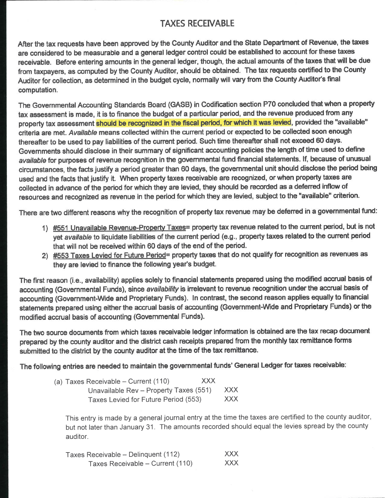# **TAXES RECEIVABLE**

After the tax requests have been approved by the County Auditor and the State Department of Revenue, the taxes are considered to be measurable and a general ledger control could be established to account for these taxes receivable. Before entering amounts in the general ledger, though, the actual amounts of the taxes that will be due from taxpayers, as computed by the County Auditor, should be obtained. The tax requests certified to the County Auditor for collection, as determined in the budget cycle, normally will vary from the County Auditor's final computation.

The Governmental Accounting Standards Board (GASB) in Codification section P70 concluded that when a property tax assessment is made, it is to finance the budget of a particular period, and the revenue produced from any property tax assessment should be recognized in the fiscal period, for which it was levied, provided the "available" criteria are met. Available means collected within the current period or expected to be collected soon enough thereafter to be used to pay liabilities of the current period. Such time thereafter shall not exceed 60 days. Governments should disclose in their summary of significant accounting policies the length of time used to define available for purposes of revenue recognition in the governmental fund financial statements. If, because of unusual circumstances, the facts justify a period greater than 60 days, the governmental unit should disclose the period being used and the facts that justify it. When property taxes receivable are recognized, or when property taxes are collected in advance of the period for which they are levied, they should be recorded as a deferred inflow of resources and recognized as revenue in the period for which they are levied, subject to the "available" criterion.

There are two different reasons why the recognition of property tax revenue may be deferred in a governmental fund:

- 1) #551 Unavailable Revenue-Property Taxes= property tax revenue related to the current period, but is not yet available to liquidate liabilities of the current period (e.g., property taxes related to the current period that will not be received within 60 days of the end of the period.
- 2) #553 Taxes Levied for Future Period= property taxes that do not qualify for recognition as revenues as they are levied to finance the following year's budget.

The first reason (i.e., availability) applies solely to financial statements prepared using the modified accrual basis of accounting (Governmental Funds), since availability is irrelevant to revenue recognition under the accrual basis of accounting (Government-Wide and Proprietary Funds). In contrast, the second reason applies equally to financial statements prepared using either the accrual basis of accounting (Government-Wide and Proprietary Funds) or the modified accrual basis of accounting (Governmental Funds).

The two source documents from which taxes receivable ledger information is obtained are the tax recap document prepared by the county auditor and the district cash receipts prepared from the monthly tax remittance forms submitted to the district by the county auditor at the time of the tax remittance.

The following entries are needed to maintain the governmental funds' General Ledger for taxes receivable:

| (a) Taxes Receivable – Current (110)   | <b>XXX</b> |       |
|----------------------------------------|------------|-------|
| Unavailable Rev - Property Taxes (551) |            | XXX X |
| Taxes Levied for Future Period (553)   |            | XXX . |

This entry is made by a general journal entry at the time the taxes are certified to the county auditor, but not later than January 31. The amounts recorded should equal the levies spread by the county auditor.

| Taxes Receivable – Delinquent (112) | XXX        |
|-------------------------------------|------------|
| Taxes Receivable – Current (110)    | <b>XXX</b> |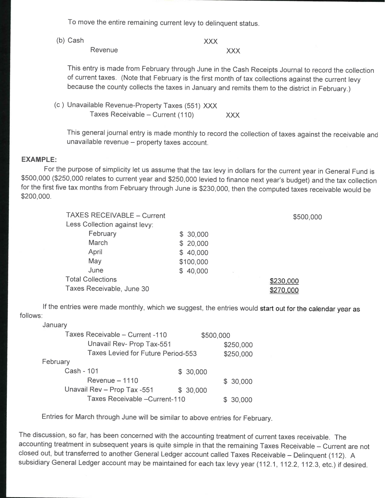To move the entire remaining current levy to delinquent status.

(b) Cash

Revenue

**XXX XXX** 

This entry is made from February through June in the Cash Receipts Journal to record the collection of current taxes. (Note that February is the first month of tax collections against the current levy because the county collects the taxes in January and remits them to the district in February.)

(c) Unavailable Revenue-Property Taxes (551) XXX Taxes Receivable - Current (110) **XXX** 

This general journal entry is made monthly to record the collection of taxes against the receivable and unavailable revenue - property taxes account.

## **EXAMPLE:**

For the purpose of simplicity let us assume that the tax levy in dollars for the current year in General Fund is \$500,000 (\$250,000 relates to current year and \$250,000 levied to finance next year's budget) and the tax collection for the first five tax months from February through June is \$230,000, then the computed taxes receivable would be \$200,000.

| <b>TAXES RECEIVABLE - Current</b> |           | \$500,000 |
|-----------------------------------|-----------|-----------|
| Less Collection against levy:     |           |           |
| February                          | \$30,000  |           |
| March                             | \$20,000  |           |
| April                             | \$40,000  |           |
| May                               | \$100,000 |           |
| June                              | \$40,000  |           |
| <b>Total Collections</b>          |           | \$230,000 |
| Taxes Receivable, June 30         |           | \$270,000 |

If the entries were made monthly, which we suggest, the entries would start out for the calendar year as follows:

January

| Taxes Receivable - Current -110    | \$500,000 |           |
|------------------------------------|-----------|-----------|
| Unavail Rev- Prop Tax-551          |           | \$250,000 |
| Taxes Levied for Future Period-553 |           | \$250,000 |
| February                           |           |           |
| Cash - 101                         | \$30,000  |           |
| $Re$ venue $-1110$                 |           | \$30,000  |
| Unavail Rev - Prop Tax -551        | \$30,000  |           |
| Taxes Receivable - Current-110     |           | 30,000    |

Entries for March through June will be similar to above entries for February.

The discussion, so far, has been concerned with the accounting treatment of current taxes receivable. The accounting treatment in subsequent years is quite simple in that the remaining Taxes Receivable - Current are not closed out, but transferred to another General Ledger account called Taxes Receivable - Delinquent (112). A subsidiary General Ledger account may be maintained for each tax levy year (112.1, 112.2, 112.3, etc.) if desired.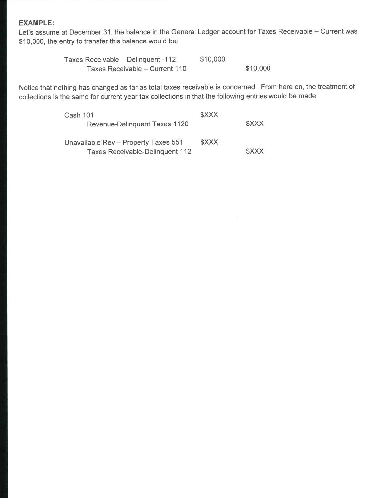### **EXAMPLE:**

Let's assume at December 31, the balance in the General Ledger account for Taxes Receivable - Current was \$10,000, the entry to transfer this balance would be:

> \$10,000 Taxes Receivable - Delinquent -112 \$10,000 Taxes Receivable - Current 110

Notice that nothing has changed as far as total taxes receivable is concerned. From here on, the treatment of collections is the same for current year tax collections in that the following entries would be made:

| <b>Cash 101</b>                        | <b>SXXX</b> |              |
|----------------------------------------|-------------|--------------|
| Revenue-Delinguent Taxes 1120          |             | <b>SXXX</b>  |
|                                        |             |              |
| Unavailable Rev - Property Taxes 551   | \$XXX       |              |
| <b>Taxes Receivable-Delinguent 112</b> |             | <b>\$XXX</b> |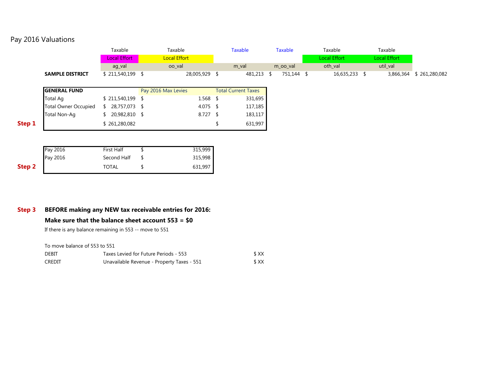# Pay 2016 Valuations

|        |                             | Taxable             | Taxable             |               | <b>Taxable</b>             | <b>Taxable</b> | Taxable             | Taxable             |             |
|--------|-----------------------------|---------------------|---------------------|---------------|----------------------------|----------------|---------------------|---------------------|-------------|
|        |                             | <b>Local Effort</b> | <b>Local Effort</b> |               |                            |                | <b>Local Effort</b> | <b>Local Effort</b> |             |
|        |                             | ag_val              | oo val              |               | m val                      | m oo val       | oth val             | util val            |             |
|        | <b>SAMPLE DISTRICT</b>      | $$211,540,199$ \\$  |                     | 28,005,929 \$ | 481,213 \$                 | 751,144 \$     | 16,635,233 \$       | 3,866,364           | 261,280,082 |
|        |                             |                     |                     |               |                            |                |                     |                     |             |
|        | <b>GENERAL FUND</b>         |                     | Pay 2016 Max Levies |               | <b>Total Current Taxes</b> |                |                     |                     |             |
|        | <b>Total Ag</b>             | $$211,540,199$ \$   |                     | 1.568         | 331,695                    |                |                     |                     |             |
|        | <b>Total Owner Occupied</b> | 28,757,073 \$       |                     | 4.075 \$      | 117,185                    |                |                     |                     |             |
|        | Total Non-Ag                | $$20,982,810$ \$    |                     | $8.727$ \$    | 183,117                    |                |                     |                     |             |
| Step 1 |                             | \$261,280,082       |                     |               | 631,997                    |                |                     |                     |             |

|                   | Pay 2016 | <b>First Half</b> | 315,999 |
|-------------------|----------|-------------------|---------|
|                   | Pay 2016 | Second Half       | 315,998 |
| Step <sub>2</sub> |          | <b>TOTAL</b>      | 631,997 |

## **Step 3 BEFORE making any NEW tax receivable entries for 2016:**

#### **Make sure that the balance sheet account 553 = \$0**

If there is any balance remaining in 553 -- move to 551

To move balance of 553 to 551

| <b>DEBIT</b> | Taxes Levied for Future Periods - 553      | \$XX |
|--------------|--------------------------------------------|------|
| CREDIT       | Unavailable Revenue - Property Taxes - 551 | \$XX |